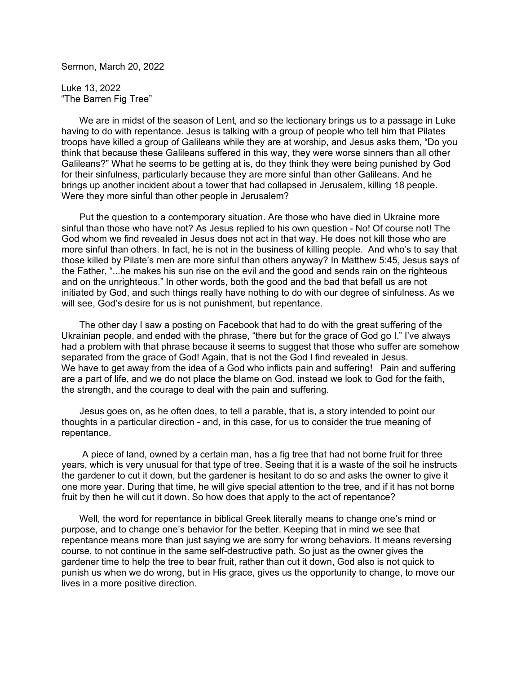Sermon, March 20, 2022

Luke 13, 2022 "The Barren Fig Tree"

 We are in midst of the season of Lent, and so the lectionary brings us to a passage in Luke having to do with repentance. Jesus is talking with a group of people who tell him that Pilates troops have killed a group of Galileans while they are at worship, and Jesus asks them, "Do you think that because these Galileans suffered in this way, they were worse sinners than all other Galileans?" What he seems to be getting at is, do they think they were being punished by God for their sinfulness, particularly because they are more sinful than other Galileans. And he brings up another incident about a tower that had collapsed in Jerusalem, killing 18 people. Were they more sinful than other people in Jerusalem?

 Put the question to a contemporary situation. Are those who have died in Ukraine more sinful than those who have not? As Jesus replied to his own question - No! Of course not! The God whom we find revealed in Jesus does not act in that way. He does not kill those who are more sinful than others. In fact, he is not in the business of killing people. And who's to say that those killed by Pilate's men are more sinful than others anyway? In Matthew 5:45, Jesus says of the Father, "...he makes his sun rise on the evil and the good and sends rain on the righteous and on the unrighteous." In other words, both the good and the bad that befall us are not initiated by God, and such things really have nothing to do with our degree of sinfulness. As we will see, God's desire for us is not punishment, but repentance.

 The other day I saw a posting on Facebook that had to do with the great suffering of the Ukrainian people, and ended with the phrase, "there but for the grace of God go I." I've always had a problem with that phrase because it seems to suggest that those who suffer are somehow separated from the grace of God! Again, that is not the God I find revealed in Jesus. We have to get away from the idea of a God who inflicts pain and suffering! Pain and suffering are a part of life, and we do not place the blame on God, instead we look to God for the faith, the strength, and the courage to deal with the pain and suffering.

 Jesus goes on, as he often does, to tell a parable, that is, a story intended to point our thoughts in a particular direction - and, in this case, for us to consider the true meaning of repentance.

 A piece of land, owned by a certain man, has a fig tree that had not borne fruit for three years, which is very unusual for that type of tree. Seeing that it is a waste of the soil he instructs the gardener to cut it down, but the gardener is hesitant to do so and asks the owner to give it one more year. During that time, he will give special attention to the tree, and if it has not borne fruit by then he will cut it down. So how does that apply to the act of repentance?

 Well, the word for repentance in biblical Greek literally means to change one's mind or purpose, and to change one's behavior for the better. Keeping that in mind we see that repentance means more than just saying we are sorry for wrong behaviors. It means reversing course, to not continue in the same self-destructive path. So just as the owner gives the gardener time to help the tree to bear fruit, rather than cut it down, God also is not quick to punish us when we do wrong, but in His grace, gives us the opportunity to change, to move our lives in a more positive direction.